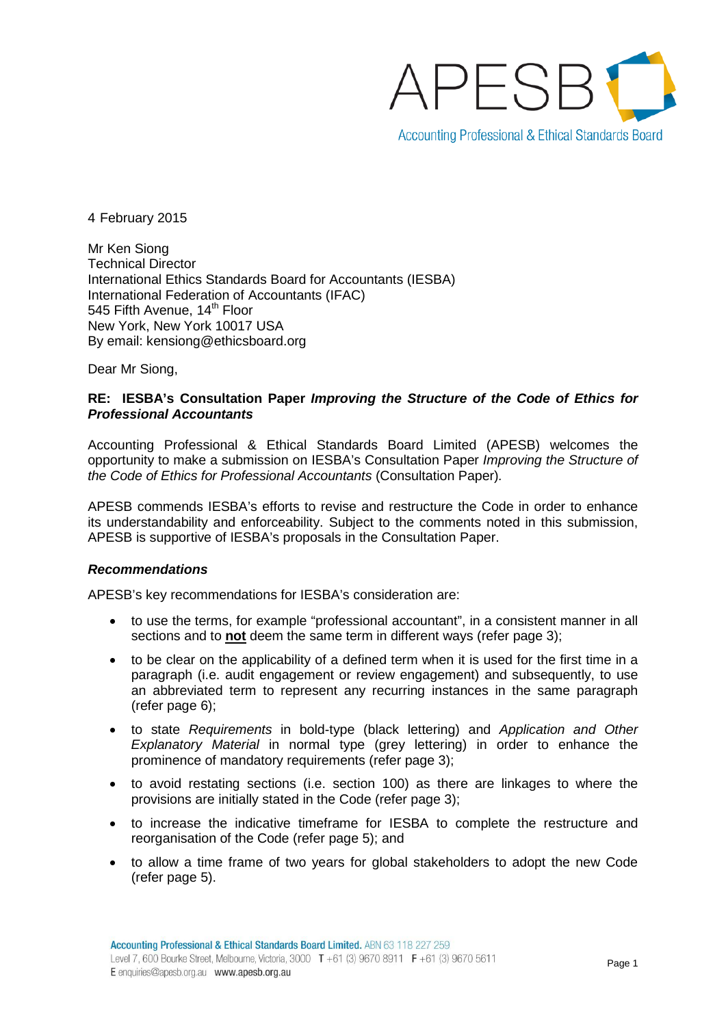

4 February 2015

Mr Ken Siong Technical Director International Ethics Standards Board for Accountants (IESBA) International Federation of Accountants (IFAC) 545 Fifth Avenue, 14<sup>th</sup> Floor New York, New York 10017 USA By email: kensiong@ethicsboard.org

Dear Mr Siong,

# **RE: IESBA's Consultation Paper** *Improving the Structure of the Code of Ethics for Professional Accountants*

Accounting Professional & Ethical Standards Board Limited (APESB) welcomes the opportunity to make a submission on IESBA's Consultation Paper *Improving the Structure of the Code of Ethics for Professional Accountants* (Consultation Paper)*.*

APESB commends IESBA's efforts to revise and restructure the Code in order to enhance its understandability and enforceability. Subject to the comments noted in this submission, APESB is supportive of IESBA's proposals in the Consultation Paper.

#### *Recommendations*

APESB's key recommendations for IESBA's consideration are:

- to use the terms, for example "professional accountant", in a consistent manner in all sections and to **not** deem the same term in different ways (refer page 3);
- to be clear on the applicability of a defined term when it is used for the first time in a paragraph (i.e. audit engagement or review engagement) and subsequently, to use an abbreviated term to represent any recurring instances in the same paragraph (refer page 6);
- to state *Requirements* in bold-type (black lettering) and *Application and Other Explanatory Material* in normal type (grey lettering) in order to enhance the prominence of mandatory requirements (refer page 3);
- to avoid restating sections (i.e. section 100) as there are linkages to where the provisions are initially stated in the Code (refer page 3);
- to increase the indicative timeframe for IESBA to complete the restructure and reorganisation of the Code (refer page 5); and
- to allow a time frame of two years for global stakeholders to adopt the new Code (refer page 5).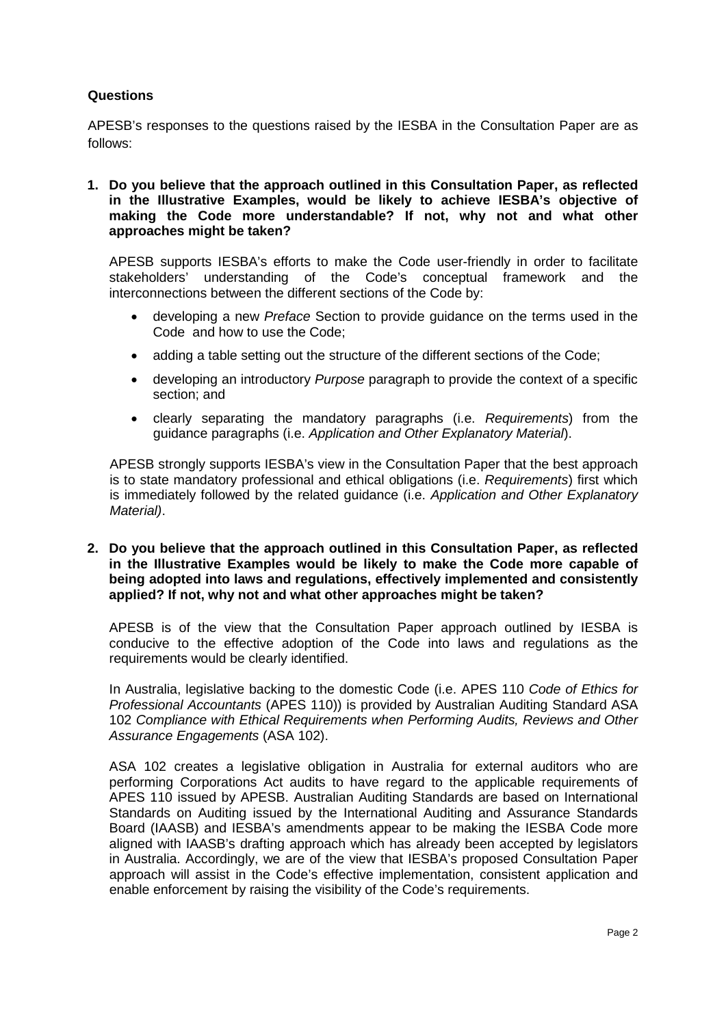# **Questions**

APESB's responses to the questions raised by the IESBA in the Consultation Paper are as follows:

**1. Do you believe that the approach outlined in this Consultation Paper, as reflected in the Illustrative Examples, would be likely to achieve IESBA's objective of making the Code more understandable? If not, why not and what other approaches might be taken?**

APESB supports IESBA's efforts to make the Code user-friendly in order to facilitate stakeholders' understanding of the Code's conceptual framework and the interconnections between the different sections of the Code by:

- developing a new *Preface* Section to provide guidance on the terms used in the Code and how to use the Code;
- adding a table setting out the structure of the different sections of the Code;
- developing an introductory *Purpose* paragraph to provide the context of a specific section; and
- clearly separating the mandatory paragraphs (i.e. *Requirements*) from the guidance paragraphs (i.e. *Application and Other Explanatory Material*).

APESB strongly supports IESBA's view in the Consultation Paper that the best approach is to state mandatory professional and ethical obligations (i.e. *Requirements*) first which is immediately followed by the related guidance (i.e. *Application and Other Explanatory Material)*.

**2. Do you believe that the approach outlined in this Consultation Paper, as reflected in the Illustrative Examples would be likely to make the Code more capable of being adopted into laws and regulations, effectively implemented and consistently applied? If not, why not and what other approaches might be taken?**

APESB is of the view that the Consultation Paper approach outlined by IESBA is conducive to the effective adoption of the Code into laws and regulations as the requirements would be clearly identified.

In Australia, legislative backing to the domestic Code (i.e. APES 110 *Code of Ethics for Professional Accountants* (APES 110)) is provided by Australian Auditing Standard ASA 102 *Compliance with Ethical Requirements when Performing Audits, Reviews and Other Assurance Engagements* (ASA 102).

ASA 102 creates a legislative obligation in Australia for external auditors who are performing Corporations Act audits to have regard to the applicable requirements of APES 110 issued by APESB. Australian Auditing Standards are based on International Standards on Auditing issued by the International Auditing and Assurance Standards Board (IAASB) and IESBA's amendments appear to be making the IESBA Code more aligned with IAASB's drafting approach which has already been accepted by legislators in Australia. Accordingly, we are of the view that IESBA's proposed Consultation Paper approach will assist in the Code's effective implementation, consistent application and enable enforcement by raising the visibility of the Code's requirements.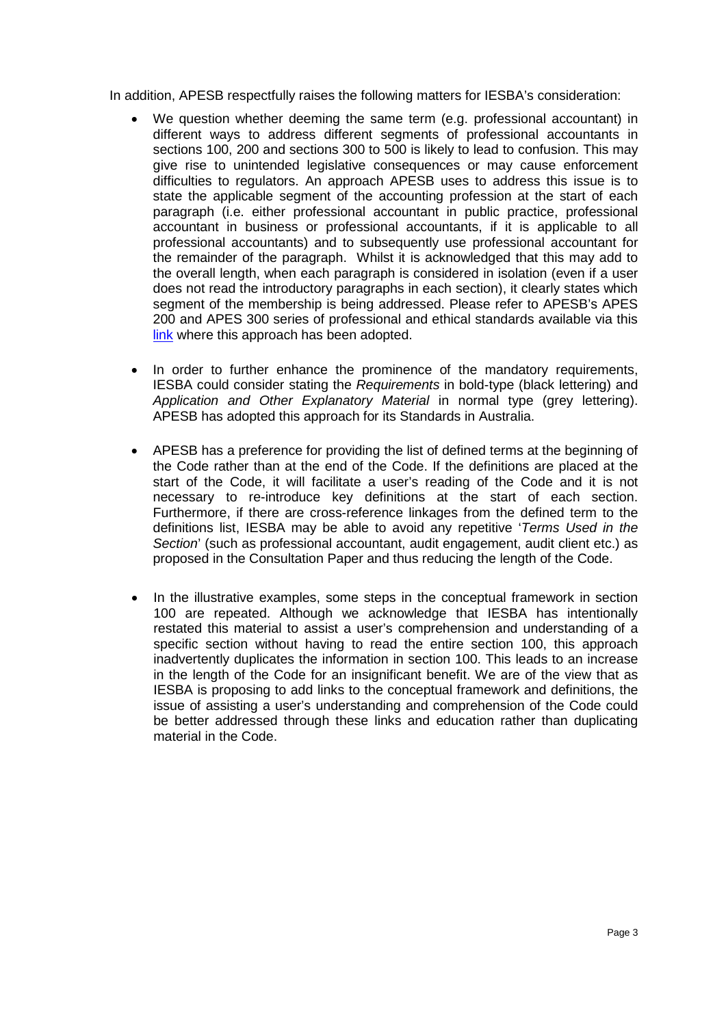In addition, APESB respectfully raises the following matters for IESBA's consideration:

- We question whether deeming the same term (e.g. professional accountant) in different ways to address different segments of professional accountants in sections 100, 200 and sections 300 to 500 is likely to lead to confusion. This may give rise to unintended legislative consequences or may cause enforcement difficulties to regulators. An approach APESB uses to address this issue is to state the applicable segment of the accounting profession at the start of each paragraph (i.e. either professional accountant in public practice, professional accountant in business or professional accountants, if it is applicable to all professional accountants) and to subsequently use professional accountant for the remainder of the paragraph. Whilst it is acknowledged that this may add to the overall length, when each paragraph is considered in isolation (even if a user does not read the introductory paragraphs in each section), it clearly states which segment of the membership is being addressed. Please refer to APESB's APES 200 and APES 300 series of professional and ethical standards available via this [link](http://www.apesb.org.au/page.php?id=12) where this approach has been adopted.
- In order to further enhance the prominence of the mandatory requirements, IESBA could consider stating the *Requirements* in bold-type (black lettering) and *Application and Other Explanatory Material* in normal type (grey lettering). APESB has adopted this approach for its Standards in Australia.
- APESB has a preference for providing the list of defined terms at the beginning of the Code rather than at the end of the Code. If the definitions are placed at the start of the Code, it will facilitate a user's reading of the Code and it is not necessary to re-introduce key definitions at the start of each section. Furthermore, if there are cross-reference linkages from the defined term to the definitions list, IESBA may be able to avoid any repetitive '*Terms Used in the Section*' (such as professional accountant, audit engagement, audit client etc.) as proposed in the Consultation Paper and thus reducing the length of the Code.
- In the illustrative examples, some steps in the conceptual framework in section 100 are repeated. Although we acknowledge that IESBA has intentionally restated this material to assist a user's comprehension and understanding of a specific section without having to read the entire section 100, this approach inadvertently duplicates the information in section 100. This leads to an increase in the length of the Code for an insignificant benefit. We are of the view that as IESBA is proposing to add links to the conceptual framework and definitions, the issue of assisting a user's understanding and comprehension of the Code could be better addressed through these links and education rather than duplicating material in the Code.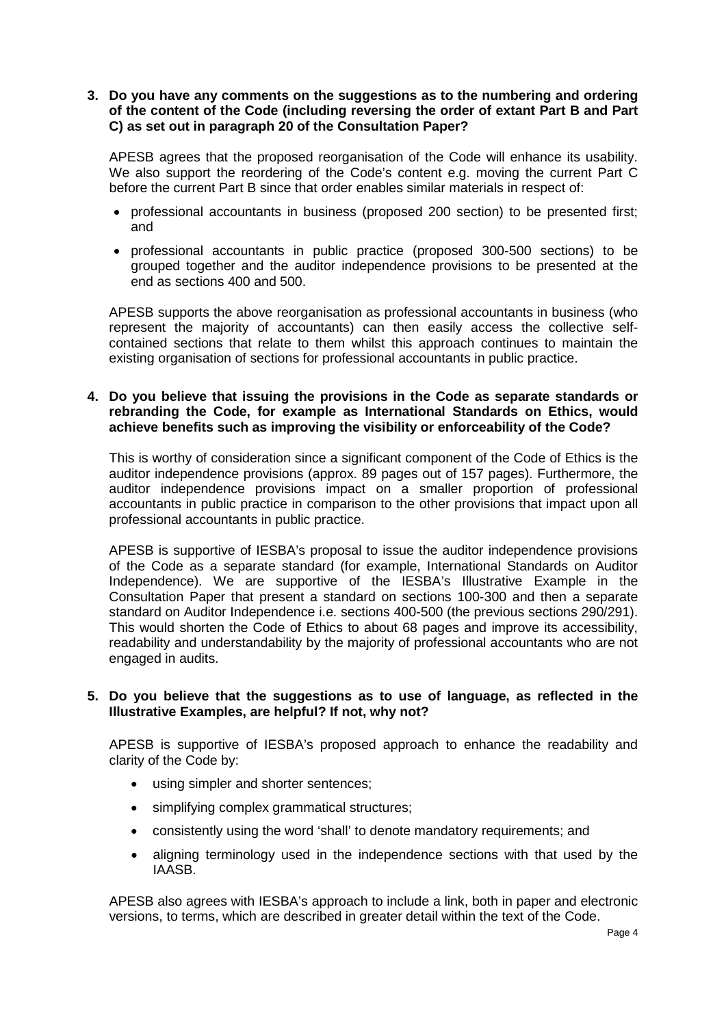## **3. Do you have any comments on the suggestions as to the numbering and ordering of the content of the Code (including reversing the order of extant Part B and Part C) as set out in paragraph 20 of the Consultation Paper?**

APESB agrees that the proposed reorganisation of the Code will enhance its usability. We also support the reordering of the Code's content e.g. moving the current Part C before the current Part B since that order enables similar materials in respect of:

- professional accountants in business (proposed 200 section) to be presented first; and
- professional accountants in public practice (proposed 300-500 sections) to be grouped together and the auditor independence provisions to be presented at the end as sections 400 and 500.

APESB supports the above reorganisation as professional accountants in business (who represent the majority of accountants) can then easily access the collective selfcontained sections that relate to them whilst this approach continues to maintain the existing organisation of sections for professional accountants in public practice.

# **4. Do you believe that issuing the provisions in the Code as separate standards or rebranding the Code, for example as International Standards on Ethics, would achieve benefits such as improving the visibility or enforceability of the Code?**

This is worthy of consideration since a significant component of the Code of Ethics is the auditor independence provisions (approx. 89 pages out of 157 pages). Furthermore, the auditor independence provisions impact on a smaller proportion of professional accountants in public practice in comparison to the other provisions that impact upon all professional accountants in public practice.

APESB is supportive of IESBA's proposal to issue the auditor independence provisions of the Code as a separate standard (for example, International Standards on Auditor Independence). We are supportive of the IESBA's Illustrative Example in the Consultation Paper that present a standard on sections 100-300 and then a separate standard on Auditor Independence i.e. sections 400-500 (the previous sections 290/291). This would shorten the Code of Ethics to about 68 pages and improve its accessibility, readability and understandability by the majority of professional accountants who are not engaged in audits.

### **5. Do you believe that the suggestions as to use of language, as reflected in the Illustrative Examples, are helpful? If not, why not?**

APESB is supportive of IESBA's proposed approach to enhance the readability and clarity of the Code by:

- using simpler and shorter sentences;
- simplifying complex grammatical structures;
- consistently using the word 'shall' to denote mandatory requirements; and
- aligning terminology used in the independence sections with that used by the IAASB.

APESB also agrees with IESBA's approach to include a link, both in paper and electronic versions, to terms, which are described in greater detail within the text of the Code.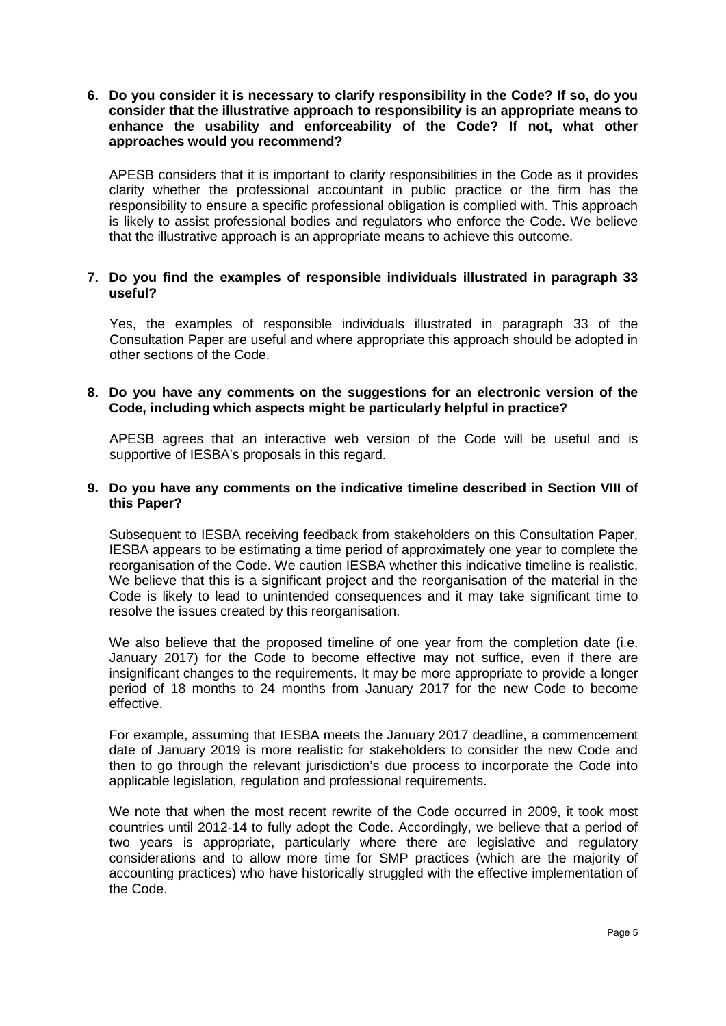**6. Do you consider it is necessary to clarify responsibility in the Code? If so, do you consider that the illustrative approach to responsibility is an appropriate means to enhance the usability and enforceability of the Code? If not, what other approaches would you recommend?**

APESB considers that it is important to clarify responsibilities in the Code as it provides clarity whether the professional accountant in public practice or the firm has the responsibility to ensure a specific professional obligation is complied with. This approach is likely to assist professional bodies and regulators who enforce the Code. We believe that the illustrative approach is an appropriate means to achieve this outcome.

### **7. Do you find the examples of responsible individuals illustrated in paragraph 33 useful?**

Yes, the examples of responsible individuals illustrated in paragraph 33 of the Consultation Paper are useful and where appropriate this approach should be adopted in other sections of the Code.

# **8. Do you have any comments on the suggestions for an electronic version of the Code, including which aspects might be particularly helpful in practice?**

APESB agrees that an interactive web version of the Code will be useful and is supportive of IESBA's proposals in this regard.

## **9. Do you have any comments on the indicative timeline described in Section VIII of this Paper?**

Subsequent to IESBA receiving feedback from stakeholders on this Consultation Paper, IESBA appears to be estimating a time period of approximately one year to complete the reorganisation of the Code. We caution IESBA whether this indicative timeline is realistic. We believe that this is a significant project and the reorganisation of the material in the Code is likely to lead to unintended consequences and it may take significant time to resolve the issues created by this reorganisation.

We also believe that the proposed timeline of one year from the completion date (i.e. January 2017) for the Code to become effective may not suffice, even if there are insignificant changes to the requirements. It may be more appropriate to provide a longer period of 18 months to 24 months from January 2017 for the new Code to become effective.

For example, assuming that IESBA meets the January 2017 deadline, a commencement date of January 2019 is more realistic for stakeholders to consider the new Code and then to go through the relevant jurisdiction's due process to incorporate the Code into applicable legislation, regulation and professional requirements.

We note that when the most recent rewrite of the Code occurred in 2009, it took most countries until 2012-14 to fully adopt the Code. Accordingly, we believe that a period of two years is appropriate, particularly where there are legislative and regulatory considerations and to allow more time for SMP practices (which are the majority of accounting practices) who have historically struggled with the effective implementation of the Code.